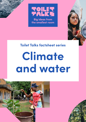





## **Toilet Talks factsheet series**

# **Climate and water**



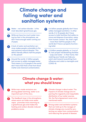## **Climate change and failing water and sanitation systems**

- Water not carbon dioxide is the most abundant greenhouse gas. **1**
- While we have too much water mov-**2** ing too fast in the atmosphere, we don't have enough water coming out of pipes.
- A lack of water and sanitation services makes people vulnerable to the next extreme natural disaster. This deficit literally affects half the people on the planet! **3**
- Around the world, 2.1 billion people **4** lack access to safely managed water. That means 3 in 10 people in the world don't have H2O that is free from fecal matter and chemical contamination.
- 4.4 billion people globally don't have safely managed sanitation. In other words, 6 in 10 people don't have access to toilet facilities that safely remove and dispose of excretion, away from human contact. Yes, that's right – more than half the people in the world don't have a properly functioning toilet. **5**
- 2.3 billion people globally, or 3 out of 10, lack proper handwashing facilities - soap and water - in their home. Not washing your hands can help you catch and transmit everything from influenza and colds to meningitis and COVID-19. **6**

## **Climate change & water: what you should know**

- While man-made emissions are driving global warming, water is an important part of the story. **1**
- The feedback loop in the atmosphere, where warm air holds more water vapor, promotes more warming as a greenhouse gas and makes the heating and carbon dioxide-induced problems worse. **2**
- Climate change is about water. The impacts of climate change are impacting the regularity and inequitable distribution of our water sources. Yet, the Paris Agreement never once mentioned water. **3**
- Strong water and sanitation systems that can hold up to the ravages of climate change are crucial for protecting our water from contamination and reducing the spread of disease. **4**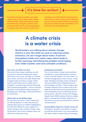## **It's time for action!**

As climate change escalates, we really need to worry more about water. Rapid urban growth, larger agricultural irrigation demands, droughts, pollution and greater burden due to overall population increase means we need to protect and

manage one of the planet's most precious resources, on which every human relies for survival. And we really need to worry about the poorest and the most vulnerable as it is they who pay the highest price.

## **A climate crisis is a water crisis**

**World leaders are talking about climate change, which is a start. But while we work on reducing carbon emissions, we can't forget about water. A warmer atmosphere holds more water vapor which leads to further warming, intensifying the problem and bringing even wilder weather and more unlivable conditions.**

#### **Too much, too little, too dirty**

There are three major problems we will face due to climate change with water: we'll have it too much, too little or it will be dirty. Some countries will suffer floods due to higher tides and storm surges. Other nations will endure lack of water due to droughts, increased agricultural demands and a growing population. Some countries will have more polluted water because of flooding, poor drainage, artificial fertilizers or soil erosion.

### **Water gets on the global stage**

For the very first time in 2021, water had an official platform in the international climate discussions at COP26, highlighting the fact that effective action against climate change is also rooted in water-related solutions. But as the numbers show, we still have a long way to go.

#### **Inadequate standards**

The current state of water and sanitation standards in many developing countries is poor and the systems are very weak. As climate change grows more severe, rising tides, flooding and high winds will lead to serious problems like collapsed latrines and sewage overflows. There needs to be stronger infrastructure in place that is durable and well-built and is protected from natural disasters such as flooding and extreme winds. All cities, towns and villages should have WASH systems that are adaptable to unexpected weather patterns, so that water sources are protected to prevent contamination.

**Sustainability today for a better tomorrow** Changes in quantity and quality of water around the world aren't our only problems. We really need to ensure that we manage